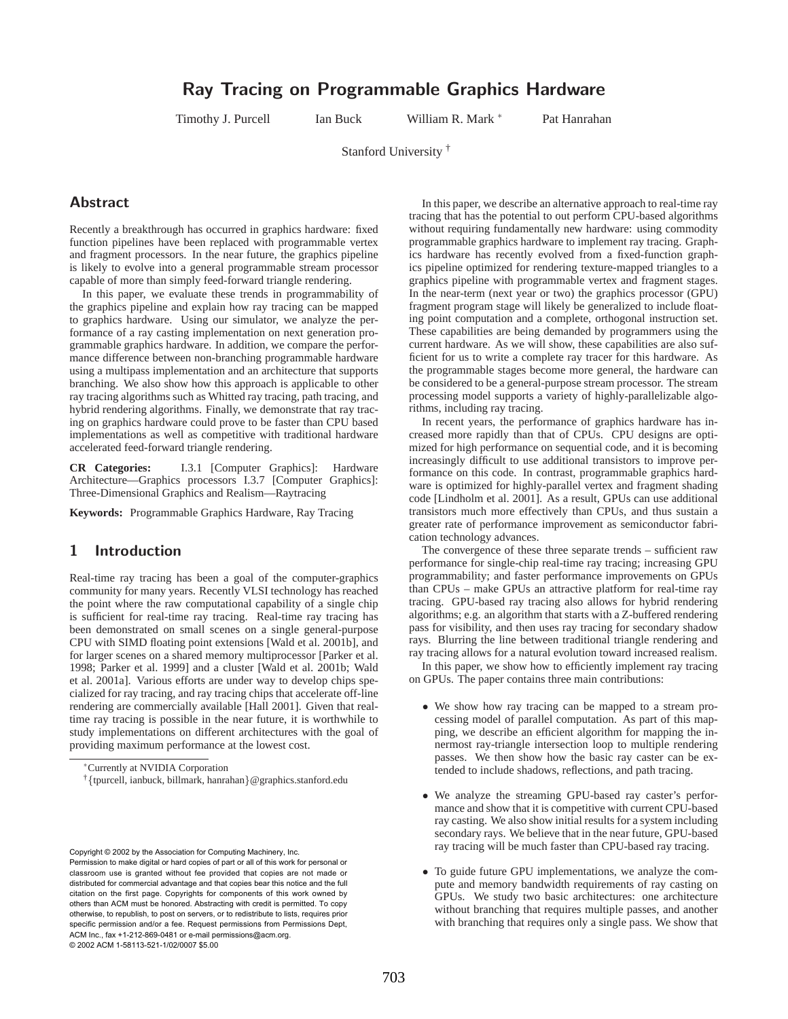# **Ray Tracing on Programmable Graphics Hardware**

Timothy J. Purcell Ian Buck William R. Mark \* Pat Hanrahan

Stanford University †

# **Abstract**

Recently a breakthrough has occurred in graphics hardware: fixed function pipelines have been replaced with programmable vertex and fragment processors. In the near future, the graphics pipeline is likely to evolve into a general programmable stream processor capable of more than simply feed-forward triangle rendering.

In this paper, we evaluate these trends in programmability of the graphics pipeline and explain how ray tracing can be mapped to graphics hardware. Using our simulator, we analyze the performance of a ray casting implementation on next generation programmable graphics hardware. In addition, we compare the performance difference between non-branching programmable hardware using a multipass implementation and an architecture that supports branching. We also show how this approach is applicable to other ray tracing algorithms such as Whitted ray tracing, path tracing, and hybrid rendering algorithms. Finally, we demonstrate that ray tracing on graphics hardware could prove to be faster than CPU based implementations as well as competitive with traditional hardware accelerated feed-forward triangle rendering.

**CR Categories:** I.3.1 [Computer Graphics]: Hardware Architecture—Graphics processors I.3.7 [Computer Graphics]: Three-Dimensional Graphics and Realism—Raytracing

**Keywords:** Programmable Graphics Hardware, Ray Tracing

# **1 Introduction**

Real-time ray tracing has been a goal of the computer-graphics community for many years. Recently VLSI technology has reached the point where the raw computational capability of a single chip is sufficient for real-time ray tracing. Real-time ray tracing has been demonstrated on small scenes on a single general-purpose CPU with SIMD floating point extensions [Wald et al. 2001b], and for larger scenes on a shared memory multiprocessor [Parker et al. 1998; Parker et al. 1999] and a cluster [Wald et al. 2001b; Wald et al. 2001a]. Various efforts are under way to develop chips specialized for ray tracing, and ray tracing chips that accelerate off-line rendering are commercially available [Hall 2001]. Given that realtime ray tracing is possible in the near future, it is worthwhile to study implementations on different architectures with the goal of providing maximum performance at the lowest cost.

In this paper, we describe an alternative approach to real-time ray tracing that has the potential to out perform CPU-based algorithms without requiring fundamentally new hardware: using commodity programmable graphics hardware to implement ray tracing. Graphics hardware has recently evolved from a fixed-function graphics pipeline optimized for rendering texture-mapped triangles to a graphics pipeline with programmable vertex and fragment stages. In the near-term (next year or two) the graphics processor (GPU) fragment program stage will likely be generalized to include floating point computation and a complete, orthogonal instruction set. These capabilities are being demanded by programmers using the current hardware. As we will show, these capabilities are also sufficient for us to write a complete ray tracer for this hardware. As the programmable stages become more general, the hardware can be considered to be a general-purpose stream processor. The stream processing model supports a variety of highly-parallelizable algorithms, including ray tracing.

In recent years, the performance of graphics hardware has increased more rapidly than that of CPUs. CPU designs are optimized for high performance on sequential code, and it is becoming increasingly difficult to use additional transistors to improve performance on this code. In contrast, programmable graphics hardware is optimized for highly-parallel vertex and fragment shading code [Lindholm et al. 2001]. As a result, GPUs can use additional transistors much more effectively than CPUs, and thus sustain a greater rate of performance improvement as semiconductor fabrication technology advances.

The convergence of these three separate trends – sufficient raw performance for single-chip real-time ray tracing; increasing GPU programmability; and faster performance improvements on GPUs than CPUs – make GPUs an attractive platform for real-time ray tracing. GPU-based ray tracing also allows for hybrid rendering algorithms; e.g. an algorithm that starts with a Z-buffered rendering pass for visibility, and then uses ray tracing for secondary shadow rays. Blurring the line between traditional triangle rendering and ray tracing allows for a natural evolution toward increased realism.

In this paper, we show how to efficiently implement ray tracing on GPUs. The paper contains three main contributions:

- *•* We show how ray tracing can be mapped to a stream processing model of parallel computation. As part of this mapping, we describe an efficient algorithm for mapping the innermost ray-triangle intersection loop to multiple rendering passes. We then show how the basic ray caster can be extended to include shadows, reflections, and path tracing.
- *•* We analyze the streaming GPU-based ray caster's performance and show that it is competitive with current CPU-based ray casting. We also show initial results for a system including secondary rays. We believe that in the near future, GPU-based ray tracing will be much faster than CPU-based ray tracing.
- *•* To guide future GPU implementations, we analyze the compute and memory bandwidth requirements of ray casting on GPUs. We study two basic architectures: one architecture without branching that requires multiple passes, and another with branching that requires only a single pass. We show that

<sup>∗</sup>Currently at NVIDIA Corporation

<sup>†</sup>*{*tpurcell, ianbuck, billmark, hanrahan*}*@graphics.stanford.edu

Copyright © 2002 by the Association for Computing Machinery, Inc. Permission to make digital or hard copies of part or all of this work for personal or classroom use is granted without fee provided that copies are not made or distributed for commercial advantage and that copies bear this notice and the full citation on the first page. Copyrights for components of this work owned by others than ACM must be honored. Abstracting with credit is permitted. To copy otherwise, to republish, to post on servers, or to redistribute to lists, requires prior specific permission and/or a fee. Request permissions from Permissions Dept, ACM Inc., fax +1-212-869-0481 or e-mail permissions@acm.org. © 2002 ACM 1-58113-521-1/02/0007 \$5.00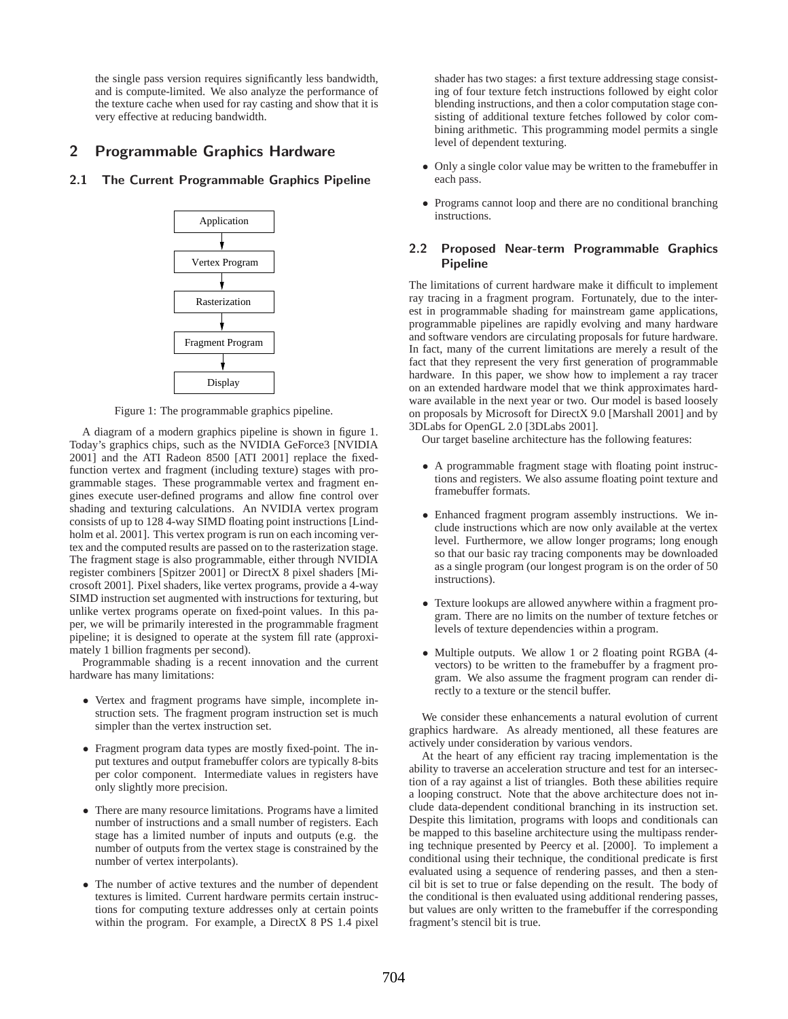the single pass version requires significantly less bandwidth, and is compute-limited. We also analyze the performance of the texture cache when used for ray casting and show that it is very effective at reducing bandwidth.

# **2 Programmable Graphics Hardware**

# **2.1 The Current Programmable Graphics Pipeline**



Figure 1: The programmable graphics pipeline.

A diagram of a modern graphics pipeline is shown in figure 1. Today's graphics chips, such as the NVIDIA GeForce3 [NVIDIA 2001] and the ATI Radeon 8500 [ATI 2001] replace the fixedfunction vertex and fragment (including texture) stages with programmable stages. These programmable vertex and fragment engines execute user-defined programs and allow fine control over shading and texturing calculations. An NVIDIA vertex program consists of up to 128 4-way SIMD floating point instructions [Lindholm et al. 2001]. This vertex program is run on each incoming vertex and the computed results are passed on to the rasterization stage. The fragment stage is also programmable, either through NVIDIA register combiners [Spitzer 2001] or DirectX 8 pixel shaders [Microsoft 2001]. Pixel shaders, like vertex programs, provide a 4-way SIMD instruction set augmented with instructions for texturing, but unlike vertex programs operate on fixed-point values. In this paper, we will be primarily interested in the programmable fragment pipeline; it is designed to operate at the system fill rate (approximately 1 billion fragments per second).

Programmable shading is a recent innovation and the current hardware has many limitations:

- *•* Vertex and fragment programs have simple, incomplete instruction sets. The fragment program instruction set is much simpler than the vertex instruction set.
- *•* Fragment program data types are mostly fixed-point. The input textures and output framebuffer colors are typically 8-bits per color component. Intermediate values in registers have only slightly more precision.
- There are many resource limitations. Programs have a limited number of instructions and a small number of registers. Each stage has a limited number of inputs and outputs (e.g. the number of outputs from the vertex stage is constrained by the number of vertex interpolants).
- *•* The number of active textures and the number of dependent textures is limited. Current hardware permits certain instructions for computing texture addresses only at certain points within the program. For example, a DirectX 8 PS 1.4 pixel

shader has two stages: a first texture addressing stage consisting of four texture fetch instructions followed by eight color blending instructions, and then a color computation stage consisting of additional texture fetches followed by color combining arithmetic. This programming model permits a single level of dependent texturing.

- *•* Only a single color value may be written to the framebuffer in each pass.
- Programs cannot loop and there are no conditional branching instructions.

## **2.2 Proposed Near-term Programmable Graphics Pipeline**

The limitations of current hardware make it difficult to implement ray tracing in a fragment program. Fortunately, due to the interest in programmable shading for mainstream game applications, programmable pipelines are rapidly evolving and many hardware and software vendors are circulating proposals for future hardware. In fact, many of the current limitations are merely a result of the fact that they represent the very first generation of programmable hardware. In this paper, we show how to implement a ray tracer on an extended hardware model that we think approximates hardware available in the next year or two. Our model is based loosely on proposals by Microsoft for DirectX 9.0 [Marshall 2001] and by 3DLabs for OpenGL 2.0 [3DLabs 2001].

Our target baseline architecture has the following features:

- *•* A programmable fragment stage with floating point instructions and registers. We also assume floating point texture and framebuffer formats.
- *•* Enhanced fragment program assembly instructions. We include instructions which are now only available at the vertex level. Furthermore, we allow longer programs; long enough so that our basic ray tracing components may be downloaded as a single program (our longest program is on the order of 50 instructions).
- *•* Texture lookups are allowed anywhere within a fragment program. There are no limits on the number of texture fetches or levels of texture dependencies within a program.
- Multiple outputs. We allow 1 or 2 floating point RGBA (4vectors) to be written to the framebuffer by a fragment program. We also assume the fragment program can render directly to a texture or the stencil buffer.

We consider these enhancements a natural evolution of current graphics hardware. As already mentioned, all these features are actively under consideration by various vendors.

At the heart of any efficient ray tracing implementation is the ability to traverse an acceleration structure and test for an intersection of a ray against a list of triangles. Both these abilities require a looping construct. Note that the above architecture does not include data-dependent conditional branching in its instruction set. Despite this limitation, programs with loops and conditionals can be mapped to this baseline architecture using the multipass rendering technique presented by Peercy et al. [2000]. To implement a conditional using their technique, the conditional predicate is first evaluated using a sequence of rendering passes, and then a stencil bit is set to true or false depending on the result. The body of the conditional is then evaluated using additional rendering passes, but values are only written to the framebuffer if the corresponding fragment's stencil bit is true.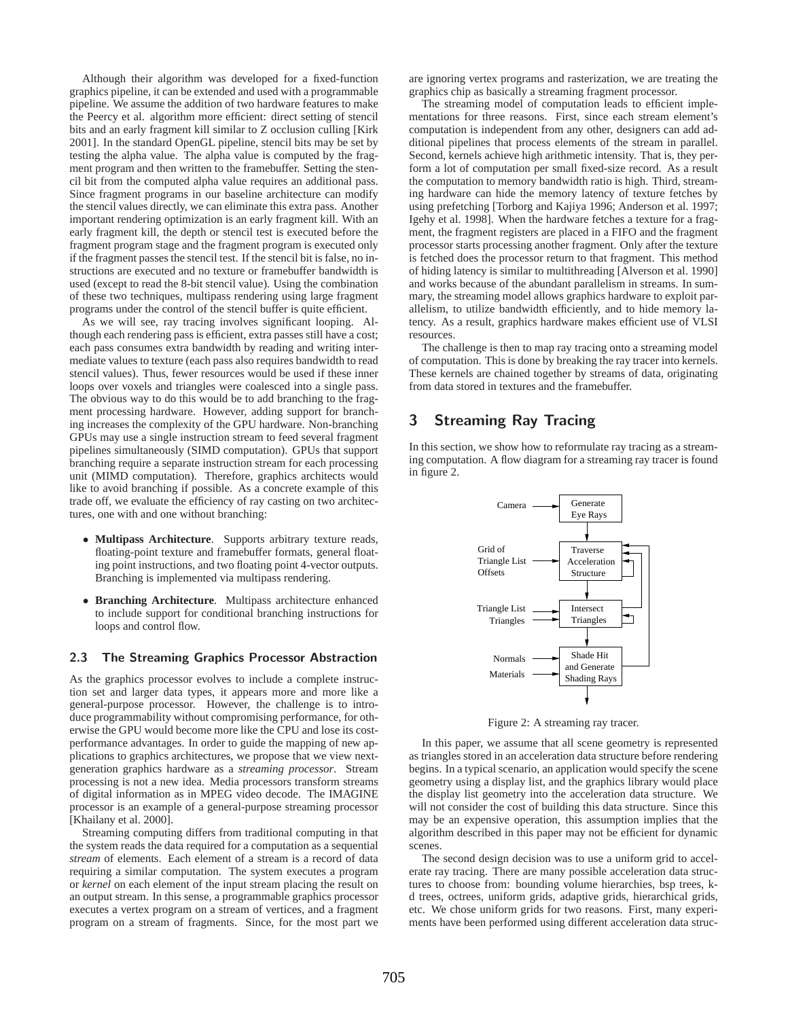Although their algorithm was developed for a fixed-function graphics pipeline, it can be extended and used with a programmable pipeline. We assume the addition of two hardware features to make the Peercy et al. algorithm more efficient: direct setting of stencil bits and an early fragment kill similar to Z occlusion culling [Kirk 2001]. In the standard OpenGL pipeline, stencil bits may be set by testing the alpha value. The alpha value is computed by the fragment program and then written to the framebuffer. Setting the stencil bit from the computed alpha value requires an additional pass. Since fragment programs in our baseline architecture can modify the stencil values directly, we can eliminate this extra pass. Another important rendering optimization is an early fragment kill. With an early fragment kill, the depth or stencil test is executed before the fragment program stage and the fragment program is executed only if the fragment passes the stencil test. If the stencil bit is false, no instructions are executed and no texture or framebuffer bandwidth is used (except to read the 8-bit stencil value). Using the combination of these two techniques, multipass rendering using large fragment programs under the control of the stencil buffer is quite efficient.

As we will see, ray tracing involves significant looping. Although each rendering pass is efficient, extra passes still have a cost; each pass consumes extra bandwidth by reading and writing intermediate values to texture (each pass also requires bandwidth to read stencil values). Thus, fewer resources would be used if these inner loops over voxels and triangles were coalesced into a single pass. The obvious way to do this would be to add branching to the fragment processing hardware. However, adding support for branching increases the complexity of the GPU hardware. Non-branching GPUs may use a single instruction stream to feed several fragment pipelines simultaneously (SIMD computation). GPUs that support branching require a separate instruction stream for each processing unit (MIMD computation). Therefore, graphics architects would like to avoid branching if possible. As a concrete example of this trade off, we evaluate the efficiency of ray casting on two architectures, one with and one without branching:

- *•* **Multipass Architecture**. Supports arbitrary texture reads, floating-point texture and framebuffer formats, general floating point instructions, and two floating point 4-vector outputs. Branching is implemented via multipass rendering.
- *•* **Branching Architecture**. Multipass architecture enhanced to include support for conditional branching instructions for loops and control flow.

### **2.3 The Streaming Graphics Processor Abstraction**

As the graphics processor evolves to include a complete instruction set and larger data types, it appears more and more like a general-purpose processor. However, the challenge is to introduce programmability without compromising performance, for otherwise the GPU would become more like the CPU and lose its costperformance advantages. In order to guide the mapping of new applications to graphics architectures, we propose that we view nextgeneration graphics hardware as a *streaming processor*. Stream processing is not a new idea. Media processors transform streams of digital information as in MPEG video decode. The IMAGINE processor is an example of a general-purpose streaming processor [Khailany et al. 2000].

Streaming computing differs from traditional computing in that the system reads the data required for a computation as a sequential *stream* of elements. Each element of a stream is a record of data requiring a similar computation. The system executes a program or *kernel* on each element of the input stream placing the result on an output stream. In this sense, a programmable graphics processor executes a vertex program on a stream of vertices, and a fragment program on a stream of fragments. Since, for the most part we

are ignoring vertex programs and rasterization, we are treating the graphics chip as basically a streaming fragment processor.

The streaming model of computation leads to efficient implementations for three reasons. First, since each stream element's computation is independent from any other, designers can add additional pipelines that process elements of the stream in parallel. Second, kernels achieve high arithmetic intensity. That is, they perform a lot of computation per small fixed-size record. As a result the computation to memory bandwidth ratio is high. Third, streaming hardware can hide the memory latency of texture fetches by using prefetching [Torborg and Kajiya 1996; Anderson et al. 1997; Igehy et al. 1998]. When the hardware fetches a texture for a fragment, the fragment registers are placed in a FIFO and the fragment processor starts processing another fragment. Only after the texture is fetched does the processor return to that fragment. This method of hiding latency is similar to multithreading [Alverson et al. 1990] and works because of the abundant parallelism in streams. In summary, the streaming model allows graphics hardware to exploit parallelism, to utilize bandwidth efficiently, and to hide memory latency. As a result, graphics hardware makes efficient use of VLSI resources.

The challenge is then to map ray tracing onto a streaming model of computation. This is done by breaking the ray tracer into kernels. These kernels are chained together by streams of data, originating from data stored in textures and the framebuffer.

# **3 Streaming Ray Tracing**

In this section, we show how to reformulate ray tracing as a streaming computation. A flow diagram for a streaming ray tracer is found in figure 2.



Figure 2: A streaming ray tracer.

In this paper, we assume that all scene geometry is represented as triangles stored in an acceleration data structure before rendering begins. In a typical scenario, an application would specify the scene geometry using a display list, and the graphics library would place the display list geometry into the acceleration data structure. We will not consider the cost of building this data structure. Since this may be an expensive operation, this assumption implies that the algorithm described in this paper may not be efficient for dynamic scenes.

The second design decision was to use a uniform grid to accelerate ray tracing. There are many possible acceleration data structures to choose from: bounding volume hierarchies, bsp trees, kd trees, octrees, uniform grids, adaptive grids, hierarchical grids, etc. We chose uniform grids for two reasons. First, many experiments have been performed using different acceleration data struc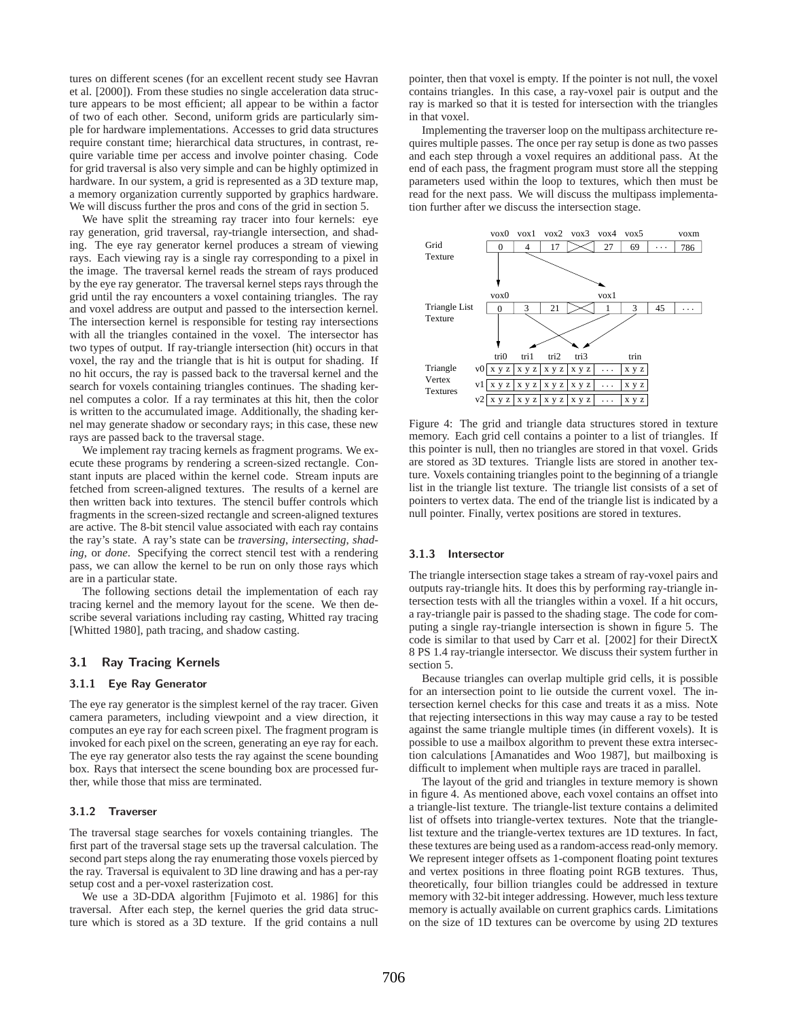tures on different scenes (for an excellent recent study see Havran et al. [2000]). From these studies no single acceleration data structure appears to be most efficient; all appear to be within a factor of two of each other. Second, uniform grids are particularly simple for hardware implementations. Accesses to grid data structures require constant time; hierarchical data structures, in contrast, require variable time per access and involve pointer chasing. Code for grid traversal is also very simple and can be highly optimized in hardware. In our system, a grid is represented as a 3D texture map, a memory organization currently supported by graphics hardware. We will discuss further the pros and cons of the grid in section 5.

We have split the streaming ray tracer into four kernels: eye ray generation, grid traversal, ray-triangle intersection, and shading. The eye ray generator kernel produces a stream of viewing rays. Each viewing ray is a single ray corresponding to a pixel in the image. The traversal kernel reads the stream of rays produced by the eye ray generator. The traversal kernel steps rays through the grid until the ray encounters a voxel containing triangles. The ray and voxel address are output and passed to the intersection kernel. The intersection kernel is responsible for testing ray intersections with all the triangles contained in the voxel. The intersector has two types of output. If ray-triangle intersection (hit) occurs in that voxel, the ray and the triangle that is hit is output for shading. If no hit occurs, the ray is passed back to the traversal kernel and the search for voxels containing triangles continues. The shading kernel computes a color. If a ray terminates at this hit, then the color is written to the accumulated image. Additionally, the shading kernel may generate shadow or secondary rays; in this case, these new rays are passed back to the traversal stage.

We implement ray tracing kernels as fragment programs. We execute these programs by rendering a screen-sized rectangle. Constant inputs are placed within the kernel code. Stream inputs are fetched from screen-aligned textures. The results of a kernel are then written back into textures. The stencil buffer controls which fragments in the screen-sized rectangle and screen-aligned textures are active. The 8-bit stencil value associated with each ray contains the ray's state. A ray's state can be *traversing*, *intersecting*, *shading*, or *done*. Specifying the correct stencil test with a rendering pass, we can allow the kernel to be run on only those rays which are in a particular state.

The following sections detail the implementation of each ray tracing kernel and the memory layout for the scene. We then describe several variations including ray casting, Whitted ray tracing [Whitted 1980], path tracing, and shadow casting.

### **3.1 Ray Tracing Kernels**

### **3.1.1 Eye Ray Generator**

The eye ray generator is the simplest kernel of the ray tracer. Given camera parameters, including viewpoint and a view direction, it computes an eye ray for each screen pixel. The fragment program is invoked for each pixel on the screen, generating an eye ray for each. The eye ray generator also tests the ray against the scene bounding box. Rays that intersect the scene bounding box are processed further, while those that miss are terminated.

#### **3.1.2 Traverser**

The traversal stage searches for voxels containing triangles. The first part of the traversal stage sets up the traversal calculation. The second part steps along the ray enumerating those voxels pierced by the ray. Traversal is equivalent to 3D line drawing and has a per-ray setup cost and a per-voxel rasterization cost.

We use a 3D-DDA algorithm [Fujimoto et al. 1986] for this traversal. After each step, the kernel queries the grid data structure which is stored as a 3D texture. If the grid contains a null pointer, then that voxel is empty. If the pointer is not null, the voxel contains triangles. In this case, a ray-voxel pair is output and the ray is marked so that it is tested for intersection with the triangles in that voxel.

Implementing the traverser loop on the multipass architecture requires multiple passes. The once per ray setup is done as two passes and each step through a voxel requires an additional pass. At the end of each pass, the fragment program must store all the stepping parameters used within the loop to textures, which then must be read for the next pass. We will discuss the multipass implementation further after we discuss the intersection stage.



Figure 4: The grid and triangle data structures stored in texture memory. Each grid cell contains a pointer to a list of triangles. If this pointer is null, then no triangles are stored in that voxel. Grids are stored as 3D textures. Triangle lists are stored in another texture. Voxels containing triangles point to the beginning of a triangle list in the triangle list texture. The triangle list consists of a set of pointers to vertex data. The end of the triangle list is indicated by a null pointer. Finally, vertex positions are stored in textures.

### **3.1.3 Intersector**

The triangle intersection stage takes a stream of ray-voxel pairs and outputs ray-triangle hits. It does this by performing ray-triangle intersection tests with all the triangles within a voxel. If a hit occurs, a ray-triangle pair is passed to the shading stage. The code for computing a single ray-triangle intersection is shown in figure 5. The code is similar to that used by Carr et al. [2002] for their DirectX 8 PS 1.4 ray-triangle intersector. We discuss their system further in section 5.

Because triangles can overlap multiple grid cells, it is possible for an intersection point to lie outside the current voxel. The intersection kernel checks for this case and treats it as a miss. Note that rejecting intersections in this way may cause a ray to be tested against the same triangle multiple times (in different voxels). It is possible to use a mailbox algorithm to prevent these extra intersection calculations [Amanatides and Woo 1987], but mailboxing is difficult to implement when multiple rays are traced in parallel.

The layout of the grid and triangles in texture memory is shown in figure 4. As mentioned above, each voxel contains an offset into a triangle-list texture. The triangle-list texture contains a delimited list of offsets into triangle-vertex textures. Note that the trianglelist texture and the triangle-vertex textures are 1D textures. In fact, these textures are being used as a random-access read-only memory. We represent integer offsets as 1-component floating point textures and vertex positions in three floating point RGB textures. Thus, theoretically, four billion triangles could be addressed in texture memory with 32-bit integer addressing. However, much less texture memory is actually available on current graphics cards. Limitations on the size of 1D textures can be overcome by using 2D textures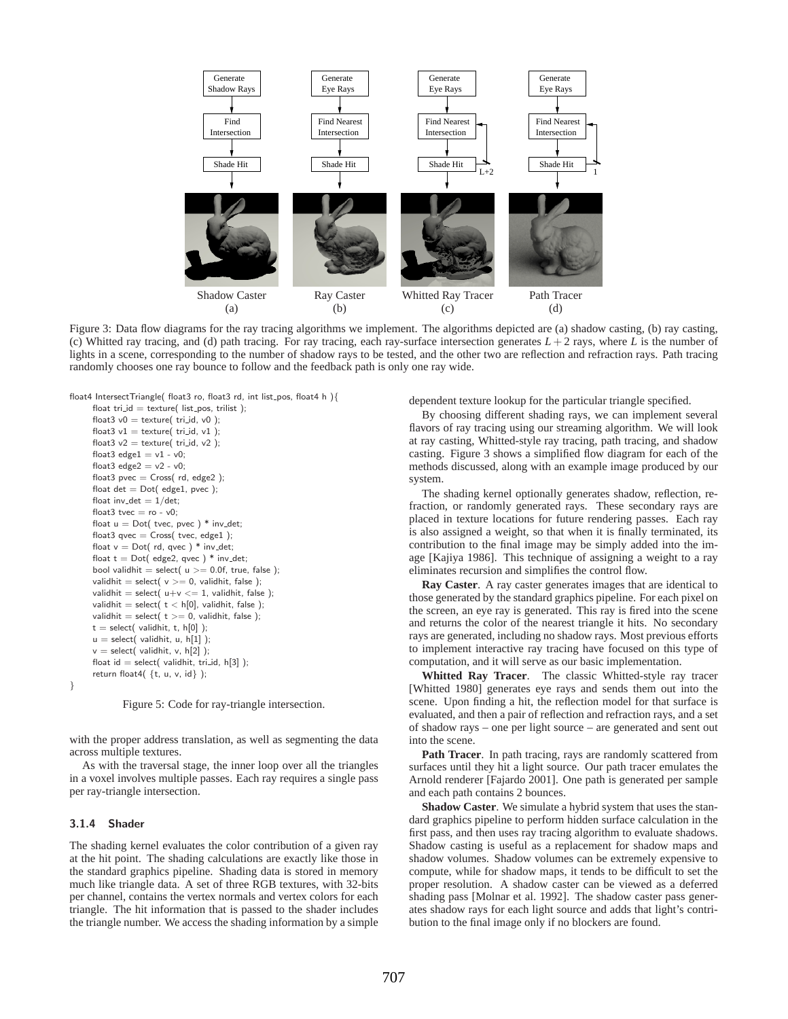

Figure 3: Data flow diagrams for the ray tracing algorithms we implement. The algorithms depicted are (a) shadow casting, (b) ray casting, (c) Whitted ray tracing, and (d) path tracing. For ray tracing, each ray-surface intersection generates  $L+2$  rays, where L is the number of lights in a scene, corresponding to the number of shadow rays to be tested, and the other two are reflection and refraction rays. Path tracing randomly chooses one ray bounce to follow and the feedback path is only one ray wide.

```
float4 IntersectTriangle( float3 ro, float3 rd, int list pos, float4 h ){
float tri_id = texture( list_pos, trilist);
float3 v0 = texture( tri_id, v0);
float3 v1 = texture( tri_id, v1);
float3 v2 = \text{texture}( \text{tri_id}, v2);float3 edge1 = v1 - v0;
float3 edge2 = v2 - v0;
float3 pvec = Cross(rd, edge2);
float det = Dot(edge1, prove);
float inv det = 1/det;
float3 tvec = ro - v0;
float u = Dot( tvec, pvec ) * inv\_det;float3 qvec = Cross( tvec, edge1 );
float v = Dot(rd, qvec) * invdet;float t = Dot( edge2, qvec ) * inv_det;
bool validhit = select(u > = 0.0f, true, false);
validhit = select( v >= 0, validhit, false);
validhit = select( u+v \le 1, validhit, false);
validhit = select(t < h[0], validhit, false);
validhit = select(t > = 0, validhit, false);
t = select( validhit, t, h[0] );
u = select( validhit, u, h[1] );
v = select( validhit, v, h[2] );
```
float  $id = select($  validhit, tri\_id, h[3] ); return float4( *{*t, u, v, id*}* );

Figure 5: Code for ray-triangle intersection.

with the proper address translation, as well as segmenting the data across multiple textures.

As with the traversal stage, the inner loop over all the triangles in a voxel involves multiple passes. Each ray requires a single pass per ray-triangle intersection.

#### **3.1.4 Shader**

*}*

The shading kernel evaluates the color contribution of a given ray at the hit point. The shading calculations are exactly like those in the standard graphics pipeline. Shading data is stored in memory much like triangle data. A set of three RGB textures, with 32-bits per channel, contains the vertex normals and vertex colors for each triangle. The hit information that is passed to the shader includes the triangle number. We access the shading information by a simple dependent texture lookup for the particular triangle specified.

By choosing different shading rays, we can implement several flavors of ray tracing using our streaming algorithm. We will look at ray casting, Whitted-style ray tracing, path tracing, and shadow casting. Figure 3 shows a simplified flow diagram for each of the methods discussed, along with an example image produced by our system.

The shading kernel optionally generates shadow, reflection, refraction, or randomly generated rays. These secondary rays are placed in texture locations for future rendering passes. Each ray is also assigned a weight, so that when it is finally terminated, its contribution to the final image may be simply added into the image [Kajiya 1986]. This technique of assigning a weight to a ray eliminates recursion and simplifies the control flow.

**Ray Caster**. A ray caster generates images that are identical to those generated by the standard graphics pipeline. For each pixel on the screen, an eye ray is generated. This ray is fired into the scene and returns the color of the nearest triangle it hits. No secondary rays are generated, including no shadow rays. Most previous efforts to implement interactive ray tracing have focused on this type of computation, and it will serve as our basic implementation.

**Whitted Ray Tracer**. The classic Whitted-style ray tracer [Whitted 1980] generates eye rays and sends them out into the scene. Upon finding a hit, the reflection model for that surface is evaluated, and then a pair of reflection and refraction rays, and a set of shadow rays – one per light source – are generated and sent out into the scene.

**Path Tracer**. In path tracing, rays are randomly scattered from surfaces until they hit a light source. Our path tracer emulates the Arnold renderer [Fajardo 2001]. One path is generated per sample and each path contains 2 bounces.

**Shadow Caster**. We simulate a hybrid system that uses the standard graphics pipeline to perform hidden surface calculation in the first pass, and then uses ray tracing algorithm to evaluate shadows. Shadow casting is useful as a replacement for shadow maps and shadow volumes. Shadow volumes can be extremely expensive to compute, while for shadow maps, it tends to be difficult to set the proper resolution. A shadow caster can be viewed as a deferred shading pass [Molnar et al. 1992]. The shadow caster pass generates shadow rays for each light source and adds that light's contribution to the final image only if no blockers are found.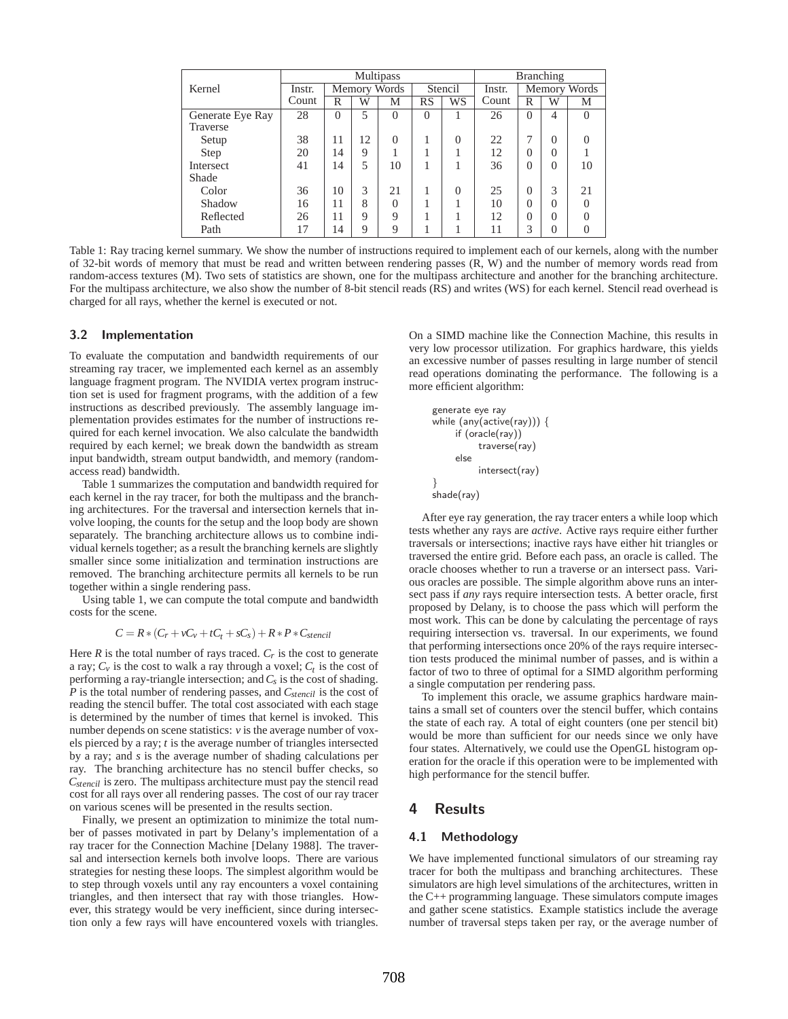|                  | <b>Multipass</b> |                         |    |          |              | <b>Branching</b> |       |          |          |          |
|------------------|------------------|-------------------------|----|----------|--------------|------------------|-------|----------|----------|----------|
| Kernel           | Instr.           | Memory Words<br>Stencil |    | Instr.   | Memory Words |                  |       |          |          |          |
|                  | Count            | R                       | W  | Μ        | <b>RS</b>    | <b>WS</b>        | Count | R        | W        | М        |
| Generate Eye Ray | 28               | $\Omega$                | 5  | $\Omega$ | $\Omega$     |                  | 26    | $\theta$ | 4        | $\Omega$ |
| <b>Traverse</b>  |                  |                         |    |          |              |                  |       |          |          |          |
| Setup            | 38               | 11                      | 12 | $\Omega$ |              | $\theta$         | 22    |          | $\Omega$ |          |
| Step             | 20               | 14                      | 9  |          |              |                  | 12    | 0        | $\Omega$ |          |
| Intersect        | 41               | 14                      | 5  | 10       |              |                  | 36    | 0        | $\Omega$ | 10       |
| Shade            |                  |                         |    |          |              |                  |       |          |          |          |
| Color            | 36               | 10                      | 3  | 21       |              | $\theta$         | 25    | $\Omega$ | 3        | 21       |
| Shadow           | 16               | 11                      | 8  | $\Omega$ |              |                  | 10    | 0        | $\Omega$ |          |
| Reflected        | 26               | 11                      | 9  | 9        |              |                  | 12    | 0        | $\Omega$ |          |
| Path             | 17               | 14                      | 9  | 9        |              |                  | 11    | 3        | $\Omega$ |          |

Table 1: Ray tracing kernel summary. We show the number of instructions required to implement each of our kernels, along with the number of 32-bit words of memory that must be read and written between rendering passes (R, W) and the number of memory words read from random-access textures (M). Two sets of statistics are shown, one for the multipass architecture and another for the branching architecture. For the multipass architecture, we also show the number of 8-bit stencil reads (RS) and writes (WS) for each kernel. Stencil read overhead is charged for all rays, whether the kernel is executed or not.

#### **3.2 Implementation**

To evaluate the computation and bandwidth requirements of our streaming ray tracer, we implemented each kernel as an assembly language fragment program. The NVIDIA vertex program instruction set is used for fragment programs, with the addition of a few instructions as described previously. The assembly language implementation provides estimates for the number of instructions required for each kernel invocation. We also calculate the bandwidth required by each kernel; we break down the bandwidth as stream input bandwidth, stream output bandwidth, and memory (randomaccess read) bandwidth.

Table 1 summarizes the computation and bandwidth required for each kernel in the ray tracer, for both the multipass and the branching architectures. For the traversal and intersection kernels that involve looping, the counts for the setup and the loop body are shown separately. The branching architecture allows us to combine individual kernels together; as a result the branching kernels are slightly smaller since some initialization and termination instructions are removed. The branching architecture permits all kernels to be run together within a single rendering pass.

Using table 1, we can compute the total compute and bandwidth costs for the scene.

$$
C = R * (C_r + vC_v + tC_t + sC_s) + R * P * C_{stencil}
$$

Here  $R$  is the total number of rays traced.  $C_r$  is the cost to generate a ray;  $C_v$  is the cost to walk a ray through a voxel;  $C_t$  is the cost of performing a ray-triangle intersection; and*Cs* is the cost of shading. *P* is the total number of rendering passes, and *C*<sub>stencil</sub> is the cost of reading the stencil buffer. The total cost associated with each stage is determined by the number of times that kernel is invoked. This number depends on scene statistics: *v* is the average number of voxels pierced by a ray; *t* is the average number of triangles intersected by a ray; and *s* is the average number of shading calculations per ray. The branching architecture has no stencil buffer checks, so *Cstencil* is zero. The multipass architecture must pay the stencil read cost for all rays over all rendering passes. The cost of our ray tracer on various scenes will be presented in the results section.

Finally, we present an optimization to minimize the total number of passes motivated in part by Delany's implementation of a ray tracer for the Connection Machine [Delany 1988]. The traversal and intersection kernels both involve loops. There are various strategies for nesting these loops. The simplest algorithm would be to step through voxels until any ray encounters a voxel containing triangles, and then intersect that ray with those triangles. However, this strategy would be very inefficient, since during intersection only a few rays will have encountered voxels with triangles.

On a SIMD machine like the Connection Machine, this results in very low processor utilization. For graphics hardware, this yields an excessive number of passes resulting in large number of stencil read operations dominating the performance. The following is a more efficient algorithm:

generate eye ray while (any(active(ray))) *{* if (oracle(ray)) traverse(ray) else intersect(ray) *}* shade(ray)

After eye ray generation, the ray tracer enters a while loop which tests whether any rays are *active*. Active rays require either further traversals or intersections; inactive rays have either hit triangles or traversed the entire grid. Before each pass, an oracle is called. The oracle chooses whether to run a traverse or an intersect pass. Various oracles are possible. The simple algorithm above runs an intersect pass if *any* rays require intersection tests. A better oracle, first proposed by Delany, is to choose the pass which will perform the most work. This can be done by calculating the percentage of rays requiring intersection vs. traversal. In our experiments, we found that performing intersections once 20% of the rays require intersection tests produced the minimal number of passes, and is within a factor of two to three of optimal for a SIMD algorithm performing a single computation per rendering pass.

To implement this oracle, we assume graphics hardware maintains a small set of counters over the stencil buffer, which contains the state of each ray. A total of eight counters (one per stencil bit) would be more than sufficient for our needs since we only have four states. Alternatively, we could use the OpenGL histogram operation for the oracle if this operation were to be implemented with high performance for the stencil buffer.

# **4 Results**

### **4.1 Methodology**

We have implemented functional simulators of our streaming ray tracer for both the multipass and branching architectures. These simulators are high level simulations of the architectures, written in the C++ programming language. These simulators compute images and gather scene statistics. Example statistics include the average number of traversal steps taken per ray, or the average number of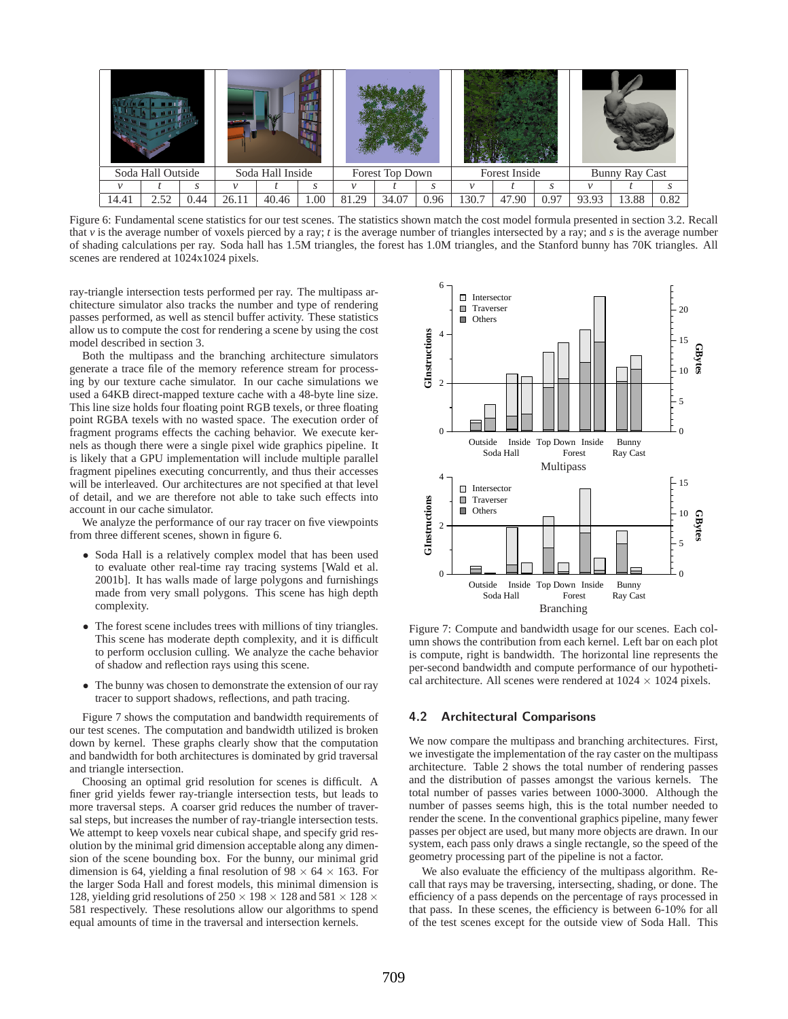| Soda Hall Outside<br>Soda Hall Inside<br>Forest Inside<br>Forest Top Down                                             | <b>Bunny Ray Cast</b> |  |  |
|-----------------------------------------------------------------------------------------------------------------------|-----------------------|--|--|
| $\mathbf{1}$                                                                                                          |                       |  |  |
| 34.07<br>93.93<br>13.88<br>2.52<br>81.29<br>0.96<br>130.7<br>47.90<br>0.97<br>26.11<br>40.46<br>1.00<br>14.41<br>0.44 | 0.82                  |  |  |

Figure 6: Fundamental scene statistics for our test scenes. The statistics shown match the cost model formula presented in section 3.2. Recall that *v* is the average number of voxels pierced by a ray; *t* is the average number of triangles intersected by a ray; and *s* is the average number of shading calculations per ray. Soda hall has 1.5M triangles, the forest has 1.0M triangles, and the Stanford bunny has 70K triangles. All scenes are rendered at 1024x1024 pixels.

ray-triangle intersection tests performed per ray. The multipass architecture simulator also tracks the number and type of rendering passes performed, as well as stencil buffer activity. These statistics allow us to compute the cost for rendering a scene by using the cost model described in section 3.

Both the multipass and the branching architecture simulators generate a trace file of the memory reference stream for processing by our texture cache simulator. In our cache simulations we used a 64KB direct-mapped texture cache with a 48-byte line size. This line size holds four floating point RGB texels, or three floating point RGBA texels with no wasted space. The execution order of fragment programs effects the caching behavior. We execute kernels as though there were a single pixel wide graphics pipeline. It is likely that a GPU implementation will include multiple parallel fragment pipelines executing concurrently, and thus their accesses will be interleaved. Our architectures are not specified at that level of detail, and we are therefore not able to take such effects into account in our cache simulator.

We analyze the performance of our ray tracer on five viewpoints from three different scenes, shown in figure 6.

- *•* Soda Hall is a relatively complex model that has been used to evaluate other real-time ray tracing systems [Wald et al. 2001b]. It has walls made of large polygons and furnishings made from very small polygons. This scene has high depth complexity.
- The forest scene includes trees with millions of tiny triangles. This scene has moderate depth complexity, and it is difficult to perform occlusion culling. We analyze the cache behavior of shadow and reflection rays using this scene.
- *•* The bunny was chosen to demonstrate the extension of our ray tracer to support shadows, reflections, and path tracing.

Figure 7 shows the computation and bandwidth requirements of our test scenes. The computation and bandwidth utilized is broken down by kernel. These graphs clearly show that the computation and bandwidth for both architectures is dominated by grid traversal and triangle intersection.

Choosing an optimal grid resolution for scenes is difficult. A finer grid yields fewer ray-triangle intersection tests, but leads to more traversal steps. A coarser grid reduces the number of traversal steps, but increases the number of ray-triangle intersection tests. We attempt to keep voxels near cubical shape, and specify grid resolution by the minimal grid dimension acceptable along any dimension of the scene bounding box. For the bunny, our minimal grid dimension is 64, yielding a final resolution of  $98 \times 64 \times 163$ . For the larger Soda Hall and forest models, this minimal dimension is 128, yielding grid resolutions of  $250 \times 198 \times 128$  and  $581 \times 128 \times$ 581 respectively. These resolutions allow our algorithms to spend equal amounts of time in the traversal and intersection kernels.



Figure 7: Compute and bandwidth usage for our scenes. Each column shows the contribution from each kernel. Left bar on each plot is compute, right is bandwidth. The horizontal line represents the per-second bandwidth and compute performance of our hypothetical architecture. All scenes were rendered at  $1024 \times 1024$  pixels.

### **4.2 Architectural Comparisons**

We now compare the multipass and branching architectures. First, we investigate the implementation of the ray caster on the multipass architecture. Table 2 shows the total number of rendering passes and the distribution of passes amongst the various kernels. The total number of passes varies between 1000-3000. Although the number of passes seems high, this is the total number needed to render the scene. In the conventional graphics pipeline, many fewer passes per object are used, but many more objects are drawn. In our system, each pass only draws a single rectangle, so the speed of the geometry processing part of the pipeline is not a factor.

We also evaluate the efficiency of the multipass algorithm. Recall that rays may be traversing, intersecting, shading, or done. The efficiency of a pass depends on the percentage of rays processed in that pass. In these scenes, the efficiency is between 6-10% for all of the test scenes except for the outside view of Soda Hall. This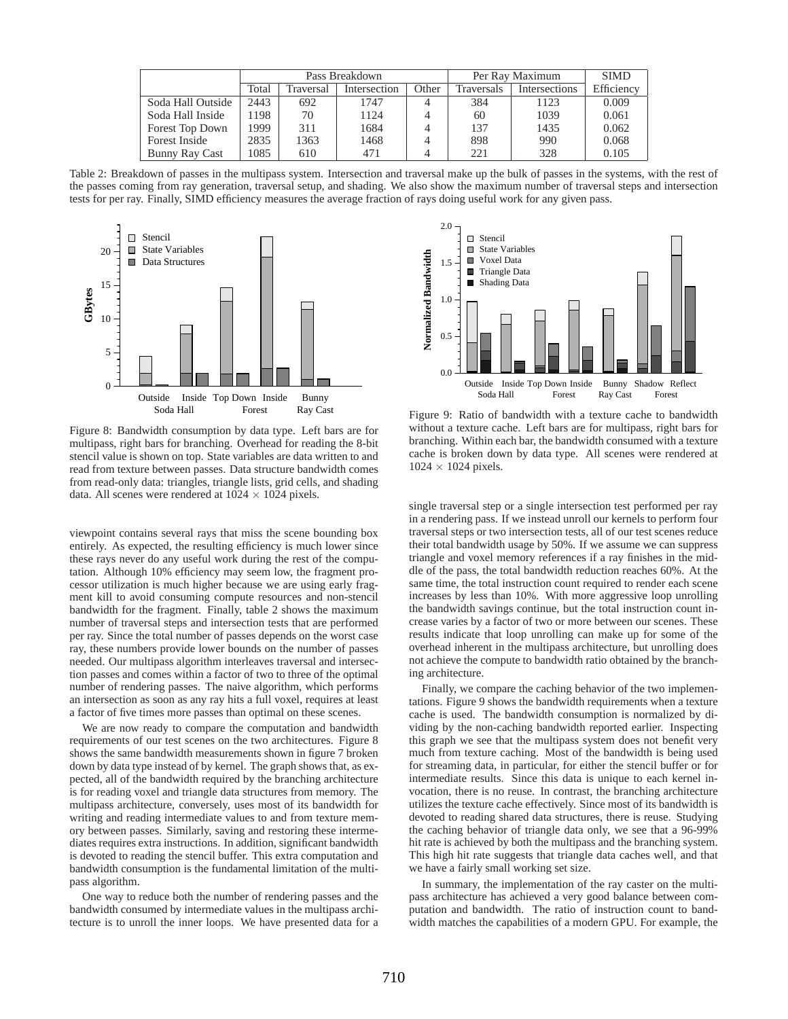|                   | Pass Breakdown |           |              |       | Per Ray Maximum   | <b>SIMD</b>   |            |
|-------------------|----------------|-----------|--------------|-------|-------------------|---------------|------------|
|                   | Total          | Traversal | Intersection | Other | <b>Traversals</b> | Intersections | Efficiency |
| Soda Hall Outside | 2443           | 692       | 1747         |       | 384               | 1123          | 0.009      |
| Soda Hall Inside  | 1198           | 70        | 1124         |       | 60                | 1039          | 0.061      |
| Forest Top Down   | 1999           | 311       | 1684         |       | 137               | 1435          | 0.062      |
| Forest Inside     | 2835           | 1363      | 1468         |       | 898               | 990           | 0.068      |
| Bunny Ray Cast    | 1085           | 610       | 471          |       | 221               | 328           | 0.105      |

Table 2: Breakdown of passes in the multipass system. Intersection and traversal make up the bulk of passes in the systems, with the rest of the passes coming from ray generation, traversal setup, and shading. We also show the maximum number of traversal steps and intersection tests for per ray. Finally, SIMD efficiency measures the average fraction of rays doing useful work for any given pass.



Figure 8: Bandwidth consumption by data type. Left bars are for multipass, right bars for branching. Overhead for reading the 8-bit stencil value is shown on top. State variables are data written to and read from texture between passes. Data structure bandwidth comes from read-only data: triangles, triangle lists, grid cells, and shading data. All scenes were rendered at  $1024 \times 1024$  pixels.

viewpoint contains several rays that miss the scene bounding box entirely. As expected, the resulting efficiency is much lower since these rays never do any useful work during the rest of the computation. Although 10% efficiency may seem low, the fragment processor utilization is much higher because we are using early fragment kill to avoid consuming compute resources and non-stencil bandwidth for the fragment. Finally, table 2 shows the maximum number of traversal steps and intersection tests that are performed per ray. Since the total number of passes depends on the worst case ray, these numbers provide lower bounds on the number of passes needed. Our multipass algorithm interleaves traversal and intersection passes and comes within a factor of two to three of the optimal number of rendering passes. The naive algorithm, which performs an intersection as soon as any ray hits a full voxel, requires at least a factor of five times more passes than optimal on these scenes.

We are now ready to compare the computation and bandwidth requirements of our test scenes on the two architectures. Figure 8 shows the same bandwidth measurements shown in figure 7 broken down by data type instead of by kernel. The graph shows that, as expected, all of the bandwidth required by the branching architecture is for reading voxel and triangle data structures from memory. The multipass architecture, conversely, uses most of its bandwidth for writing and reading intermediate values to and from texture memory between passes. Similarly, saving and restoring these intermediates requires extra instructions. In addition, significant bandwidth is devoted to reading the stencil buffer. This extra computation and bandwidth consumption is the fundamental limitation of the multipass algorithm.

One way to reduce both the number of rendering passes and the bandwidth consumed by intermediate values in the multipass architecture is to unroll the inner loops. We have presented data for a



Figure 9: Ratio of bandwidth with a texture cache to bandwidth without a texture cache. Left bars are for multipass, right bars for branching. Within each bar, the bandwidth consumed with a texture cache is broken down by data type. All scenes were rendered at  $1024 \times 1024$  pixels.

single traversal step or a single intersection test performed per ray in a rendering pass. If we instead unroll our kernels to perform four traversal steps or two intersection tests, all of our test scenes reduce their total bandwidth usage by 50%. If we assume we can suppress triangle and voxel memory references if a ray finishes in the middle of the pass, the total bandwidth reduction reaches 60%. At the same time, the total instruction count required to render each scene increases by less than 10%. With more aggressive loop unrolling the bandwidth savings continue, but the total instruction count increase varies by a factor of two or more between our scenes. These results indicate that loop unrolling can make up for some of the overhead inherent in the multipass architecture, but unrolling does not achieve the compute to bandwidth ratio obtained by the branching architecture.

Finally, we compare the caching behavior of the two implementations. Figure 9 shows the bandwidth requirements when a texture cache is used. The bandwidth consumption is normalized by dividing by the non-caching bandwidth reported earlier. Inspecting this graph we see that the multipass system does not benefit very much from texture caching. Most of the bandwidth is being used for streaming data, in particular, for either the stencil buffer or for intermediate results. Since this data is unique to each kernel invocation, there is no reuse. In contrast, the branching architecture utilizes the texture cache effectively. Since most of its bandwidth is devoted to reading shared data structures, there is reuse. Studying the caching behavior of triangle data only, we see that a 96-99% hit rate is achieved by both the multipass and the branching system. This high hit rate suggests that triangle data caches well, and that we have a fairly small working set size.

In summary, the implementation of the ray caster on the multipass architecture has achieved a very good balance between computation and bandwidth. The ratio of instruction count to bandwidth matches the capabilities of a modern GPU. For example, the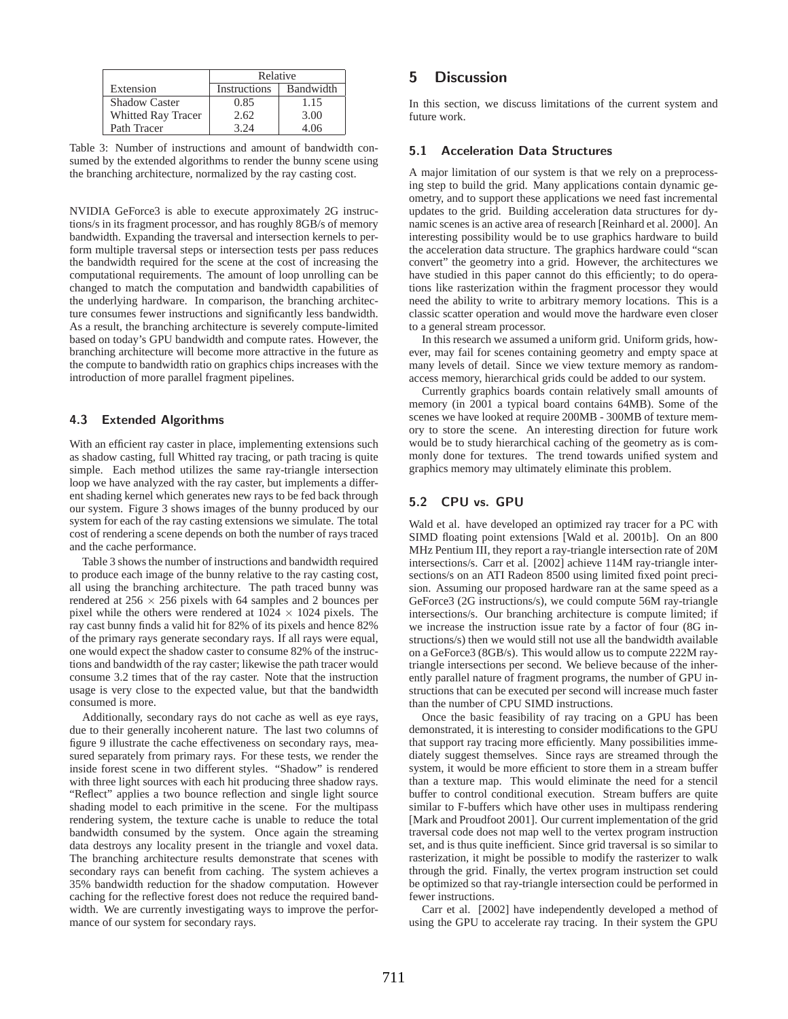|                      | Relative     |           |  |
|----------------------|--------------|-----------|--|
| Extension            | Instructions | Bandwidth |  |
| <b>Shadow Caster</b> | 0.85         | 1.15      |  |
| Whitted Ray Tracer   | 2.62.        | 3.00      |  |
| Path Tracer          | 3 94         | 4 በ6      |  |

Table 3: Number of instructions and amount of bandwidth consumed by the extended algorithms to render the bunny scene using the branching architecture, normalized by the ray casting cost.

NVIDIA GeForce3 is able to execute approximately 2G instructions/s in its fragment processor, and has roughly 8GB/s of memory bandwidth. Expanding the traversal and intersection kernels to perform multiple traversal steps or intersection tests per pass reduces the bandwidth required for the scene at the cost of increasing the computational requirements. The amount of loop unrolling can be changed to match the computation and bandwidth capabilities of the underlying hardware. In comparison, the branching architecture consumes fewer instructions and significantly less bandwidth. As a result, the branching architecture is severely compute-limited based on today's GPU bandwidth and compute rates. However, the branching architecture will become more attractive in the future as the compute to bandwidth ratio on graphics chips increases with the introduction of more parallel fragment pipelines.

### **4.3 Extended Algorithms**

With an efficient ray caster in place, implementing extensions such as shadow casting, full Whitted ray tracing, or path tracing is quite simple. Each method utilizes the same ray-triangle intersection loop we have analyzed with the ray caster, but implements a different shading kernel which generates new rays to be fed back through our system. Figure 3 shows images of the bunny produced by our system for each of the ray casting extensions we simulate. The total cost of rendering a scene depends on both the number of rays traced and the cache performance.

Table 3 shows the number of instructions and bandwidth required to produce each image of the bunny relative to the ray casting cost, all using the branching architecture. The path traced bunny was rendered at  $256 \times 256$  pixels with 64 samples and 2 bounces per pixel while the others were rendered at  $1024 \times 1024$  pixels. The ray cast bunny finds a valid hit for 82% of its pixels and hence 82% of the primary rays generate secondary rays. If all rays were equal, one would expect the shadow caster to consume 82% of the instructions and bandwidth of the ray caster; likewise the path tracer would consume 3.2 times that of the ray caster. Note that the instruction usage is very close to the expected value, but that the bandwidth consumed is more.

Additionally, secondary rays do not cache as well as eye rays, due to their generally incoherent nature. The last two columns of figure 9 illustrate the cache effectiveness on secondary rays, measured separately from primary rays. For these tests, we render the inside forest scene in two different styles. "Shadow" is rendered with three light sources with each hit producing three shadow rays. "Reflect" applies a two bounce reflection and single light source shading model to each primitive in the scene. For the multipass rendering system, the texture cache is unable to reduce the total bandwidth consumed by the system. Once again the streaming data destroys any locality present in the triangle and voxel data. The branching architecture results demonstrate that scenes with secondary rays can benefit from caching. The system achieves a 35% bandwidth reduction for the shadow computation. However caching for the reflective forest does not reduce the required bandwidth. We are currently investigating ways to improve the performance of our system for secondary rays.

# **5 Discussion**

In this section, we discuss limitations of the current system and future work.

## **5.1 Acceleration Data Structures**

A major limitation of our system is that we rely on a preprocessing step to build the grid. Many applications contain dynamic geometry, and to support these applications we need fast incremental updates to the grid. Building acceleration data structures for dynamic scenes is an active area of research [Reinhard et al. 2000]. An interesting possibility would be to use graphics hardware to build the acceleration data structure. The graphics hardware could "scan convert" the geometry into a grid. However, the architectures we have studied in this paper cannot do this efficiently; to do operations like rasterization within the fragment processor they would need the ability to write to arbitrary memory locations. This is a classic scatter operation and would move the hardware even closer to a general stream processor.

In this research we assumed a uniform grid. Uniform grids, however, may fail for scenes containing geometry and empty space at many levels of detail. Since we view texture memory as randomaccess memory, hierarchical grids could be added to our system.

Currently graphics boards contain relatively small amounts of memory (in 2001 a typical board contains 64MB). Some of the scenes we have looked at require 200MB - 300MB of texture memory to store the scene. An interesting direction for future work would be to study hierarchical caching of the geometry as is commonly done for textures. The trend towards unified system and graphics memory may ultimately eliminate this problem.

# **5.2 CPU vs. GPU**

Wald et al. have developed an optimized ray tracer for a PC with SIMD floating point extensions [Wald et al. 2001b]. On an 800 MHz Pentium III, they report a ray-triangle intersection rate of 20M intersections/s. Carr et al. [2002] achieve 114M ray-triangle intersections/s on an ATI Radeon 8500 using limited fixed point precision. Assuming our proposed hardware ran at the same speed as a GeForce3 (2G instructions/s), we could compute 56M ray-triangle intersections/s. Our branching architecture is compute limited; if we increase the instruction issue rate by a factor of four (8G instructions/s) then we would still not use all the bandwidth available on a GeForce3 (8GB/s). This would allow us to compute 222M raytriangle intersections per second. We believe because of the inherently parallel nature of fragment programs, the number of GPU instructions that can be executed per second will increase much faster than the number of CPU SIMD instructions.

Once the basic feasibility of ray tracing on a GPU has been demonstrated, it is interesting to consider modifications to the GPU that support ray tracing more efficiently. Many possibilities immediately suggest themselves. Since rays are streamed through the system, it would be more efficient to store them in a stream buffer than a texture map. This would eliminate the need for a stencil buffer to control conditional execution. Stream buffers are quite similar to F-buffers which have other uses in multipass rendering [Mark and Proudfoot 2001]. Our current implementation of the grid traversal code does not map well to the vertex program instruction set, and is thus quite inefficient. Since grid traversal is so similar to rasterization, it might be possible to modify the rasterizer to walk through the grid. Finally, the vertex program instruction set could be optimized so that ray-triangle intersection could be performed in fewer instructions.

Carr et al. [2002] have independently developed a method of using the GPU to accelerate ray tracing. In their system the GPU